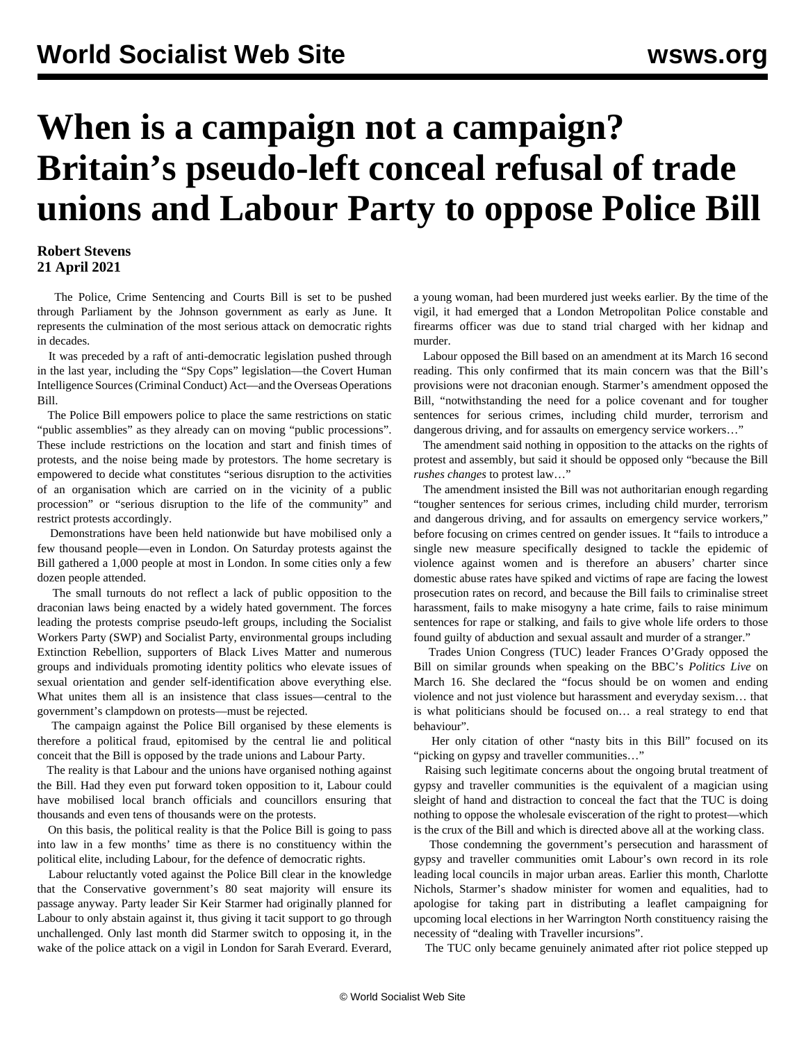## **When is a campaign not a campaign? Britain's pseudo-left conceal refusal of trade unions and Labour Party to oppose Police Bill**

## **Robert Stevens 21 April 2021**

 The Police, Crime Sentencing and Courts Bill is set to be pushed through Parliament by the Johnson government as early as June. It represents the culmination of the most serious attack on democratic rights in decades.

 It was preceded by a raft of anti-democratic legislation pushed through in the last year, including the "Spy Cops" legislation—the Covert Human Intelligence Sources (Criminal Conduct) Act—and the Overseas Operations Bill.

 The Police [Bill](/en/articles/2021/03/20/poli-m20.html) empowers police to place the same restrictions on static "public assemblies" as they already can on moving "public processions". These include restrictions on the location and start and finish times of protests, and the noise being made by protestors. The home secretary is empowered to decide what constitutes "serious disruption to the activities of an organisation which are carried on in the vicinity of a public procession" or "serious disruption to the life of the community" and restrict protests accordingly.

 Demonstrations have been held nationwide but have mobilised only a few thousand people—even in London. On Saturday protests against the Bill gathered a 1,000 people at most in London. In some cities only a few dozen people attended.

 The small turnouts do not reflect a lack of public opposition to the draconian laws being enacted by a widely hated government. The forces leading the protests comprise pseudo-left groups, including the Socialist Workers Party (SWP) and Socialist Party, environmental groups including Extinction Rebellion, supporters of Black Lives Matter and numerous groups and individuals promoting identity politics who elevate issues of sexual orientation and gender self-identification above everything else. What unites them all is an insistence that class issues—central to the government's clampdown on protests—must be rejected.

 The campaign against the Police Bill organised by these elements is therefore a political fraud, epitomised by the central lie and political conceit that the Bill is opposed by the trade unions and Labour Party.

 The reality is that Labour and the unions have organised nothing against the Bill. Had they even put forward token opposition to it, Labour could have mobilised local branch officials and councillors ensuring that thousands and even tens of thousands were on the protests.

 On this basis, the political reality is that the Police Bill is going to pass into law in a few months' time as there is no constituency within the political elite, including Labour, for the defence of democratic rights.

 Labour reluctantly voted against the Police Bill clear in the knowledge that the Conservative government's 80 seat majority will ensure its passage anyway. Party leader Sir Keir Starmer had originally planned for Labour to only abstain against it, thus giving it tacit support to go through unchallenged. Only last month did Starmer [switch](/en/articles/2021/03/19/ukde-m19.html) to opposing it, in the wake of the police attack on a vigil in London for Sarah Everard. Everard, a young woman, had been murdered just weeks earlier. By the time of the vigil, it had emerged that a London Metropolitan Police constable and firearms officer was due to stand trial charged with her kidnap and murder.

 Labour opposed the Bill based on an amendment at its March 16 second reading. This only confirmed that its main concern was that the Bill's provisions were not draconian enough. Starmer's amendment opposed the Bill, "notwithstanding the need for a police covenant and for tougher sentences for serious crimes, including child murder, terrorism and dangerous driving, and for assaults on emergency service workers..."

 The amendment said nothing in opposition to the attacks on the rights of protest and assembly, but said it should be opposed only "because the Bill *rushes changes* to protest law…"

 The amendment insisted the Bill was not authoritarian enough regarding "tougher sentences for serious crimes, including child murder, terrorism and dangerous driving, and for assaults on emergency service workers," before focusing on crimes centred on gender issues. It "fails to introduce a single new measure specifically designed to tackle the epidemic of violence against women and is therefore an abusers' charter since domestic abuse rates have spiked and victims of rape are facing the lowest prosecution rates on record, and because the Bill fails to criminalise street harassment, fails to make misogyny a hate crime, fails to raise minimum sentences for rape or stalking, and fails to give whole life orders to those found guilty of abduction and sexual assault and murder of a stranger."

 Trades Union Congress (TUC) leader Frances O'Grady opposed the Bill on similar grounds when speaking on the BBC's *Politics Live* on March 16. She declared the "focus should be on women and ending violence and not just violence but harassment and everyday sexism… that is what politicians should be focused on… a real strategy to end that behaviour".

 Her only citation of other "nasty bits in this Bill" focused on its "picking on gypsy and traveller communities…"

 Raising such legitimate concerns about the ongoing brutal treatment of gypsy and traveller communities is the equivalent of a magician using sleight of hand and distraction to conceal the fact that the TUC is doing nothing to oppose the wholesale evisceration of the right to protest—which is the crux of the Bill and which is directed above all at the working class.

 Those condemning the government's persecution and harassment of gypsy and traveller communities omit Labour's own record in its role leading local councils in major urban areas. Earlier this month, Charlotte Nichols, Starmer's shadow minister for women and equalities, had to apologise for taking part in distributing a leaflet campaigning for upcoming local elections in her Warrington North constituency raising the necessity of "dealing with Traveller incursions".

The TUC only became genuinely animated after riot police stepped up